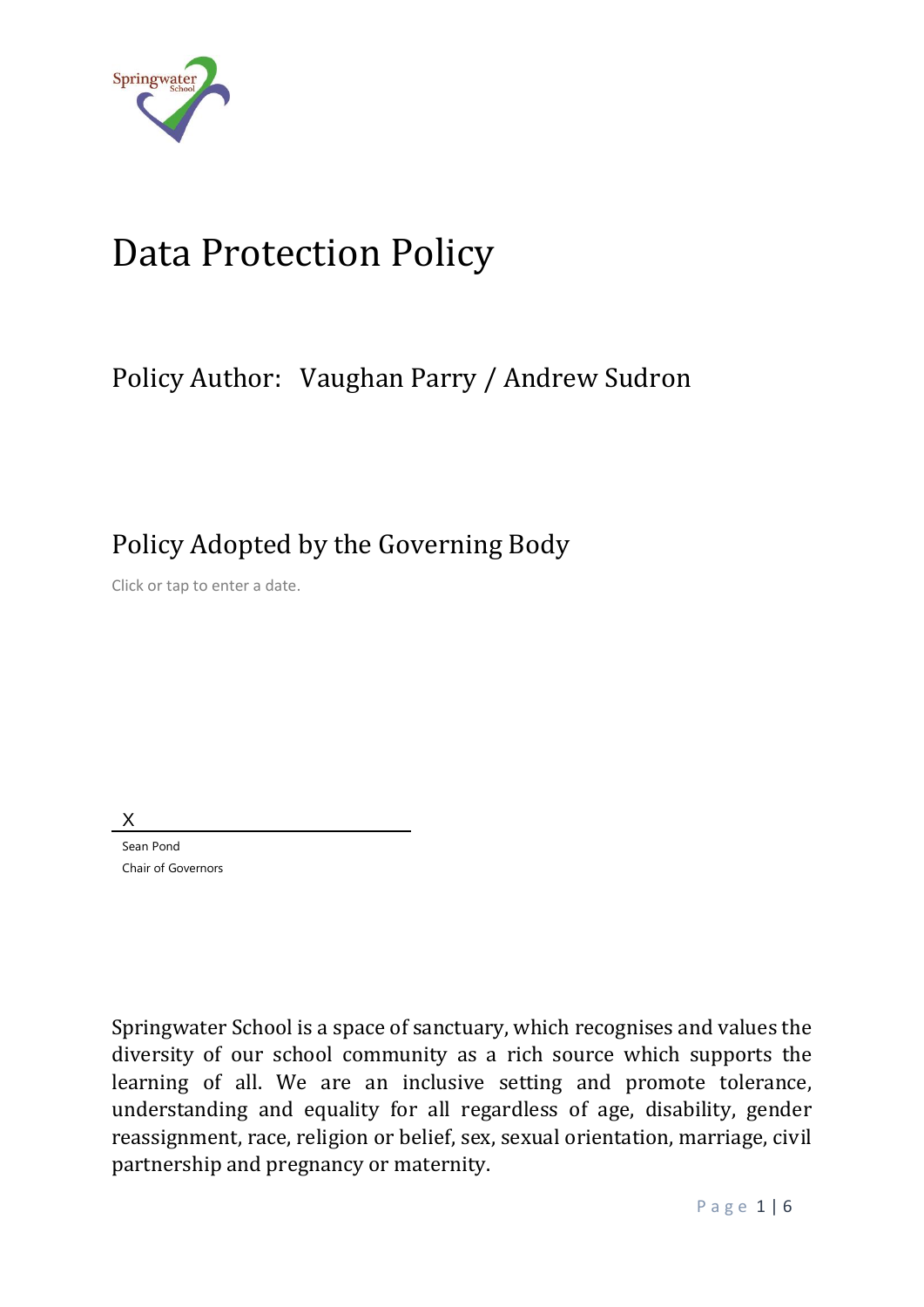

# Data Protection Policy

### Policy Author: Vaughan Parry / Andrew Sudron

Policy Adopted by the Governing Body

Click or tap to enter a date.

X

Sean Pond Chair of Governors

Springwater School is a space of sanctuary, which recognises and values the diversity of our school community as a rich source which supports the learning of all. We are an inclusive setting and promote tolerance, understanding and equality for all regardless of age, disability, gender reassignment, race, religion or belief, sex, sexual orientation, marriage, civil partnership and pregnancy or maternity.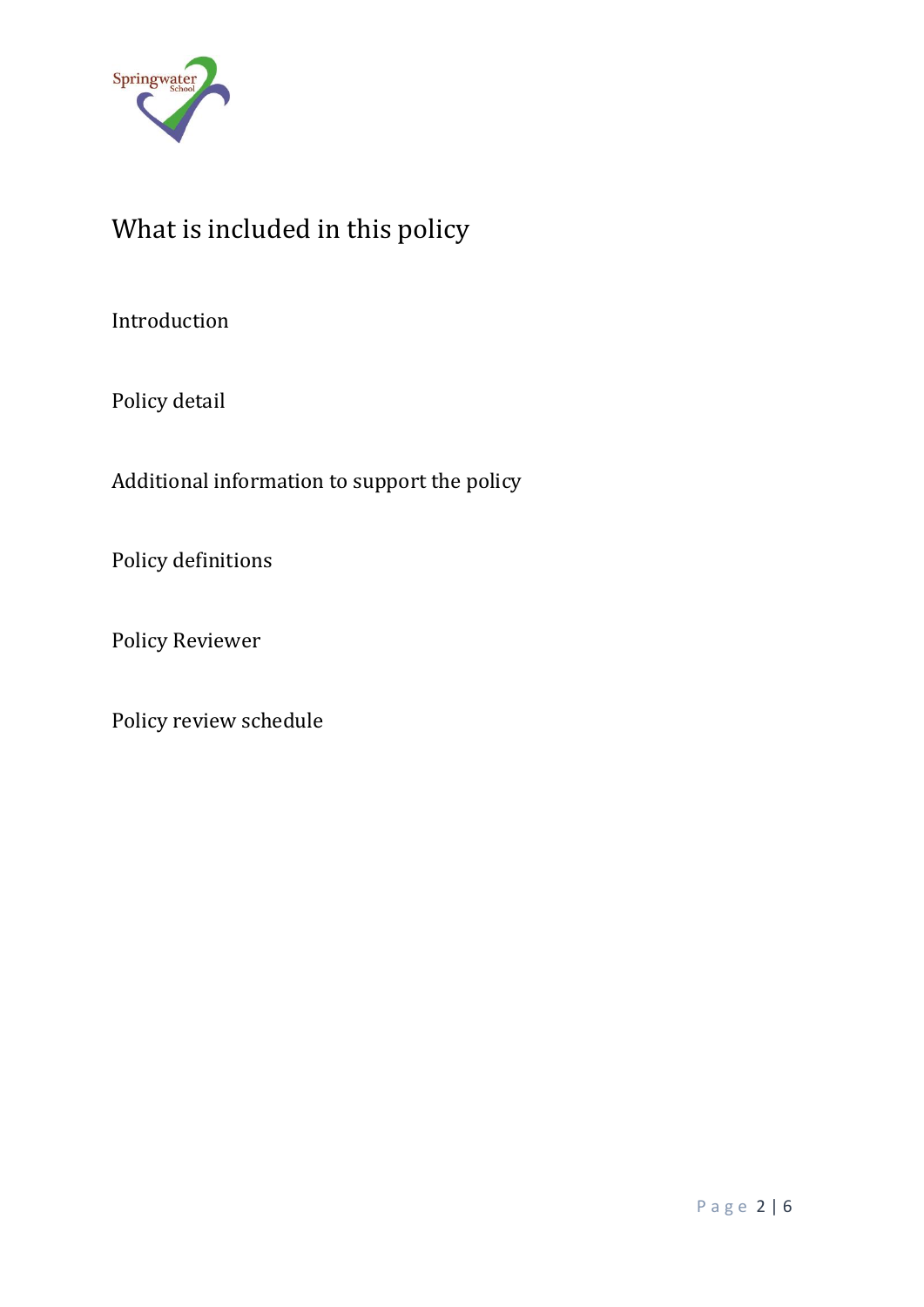

# What is included in this policy

Introduction

Policy detail

Additional information to support the policy

Policy definitions

Policy Reviewer

Policy review schedule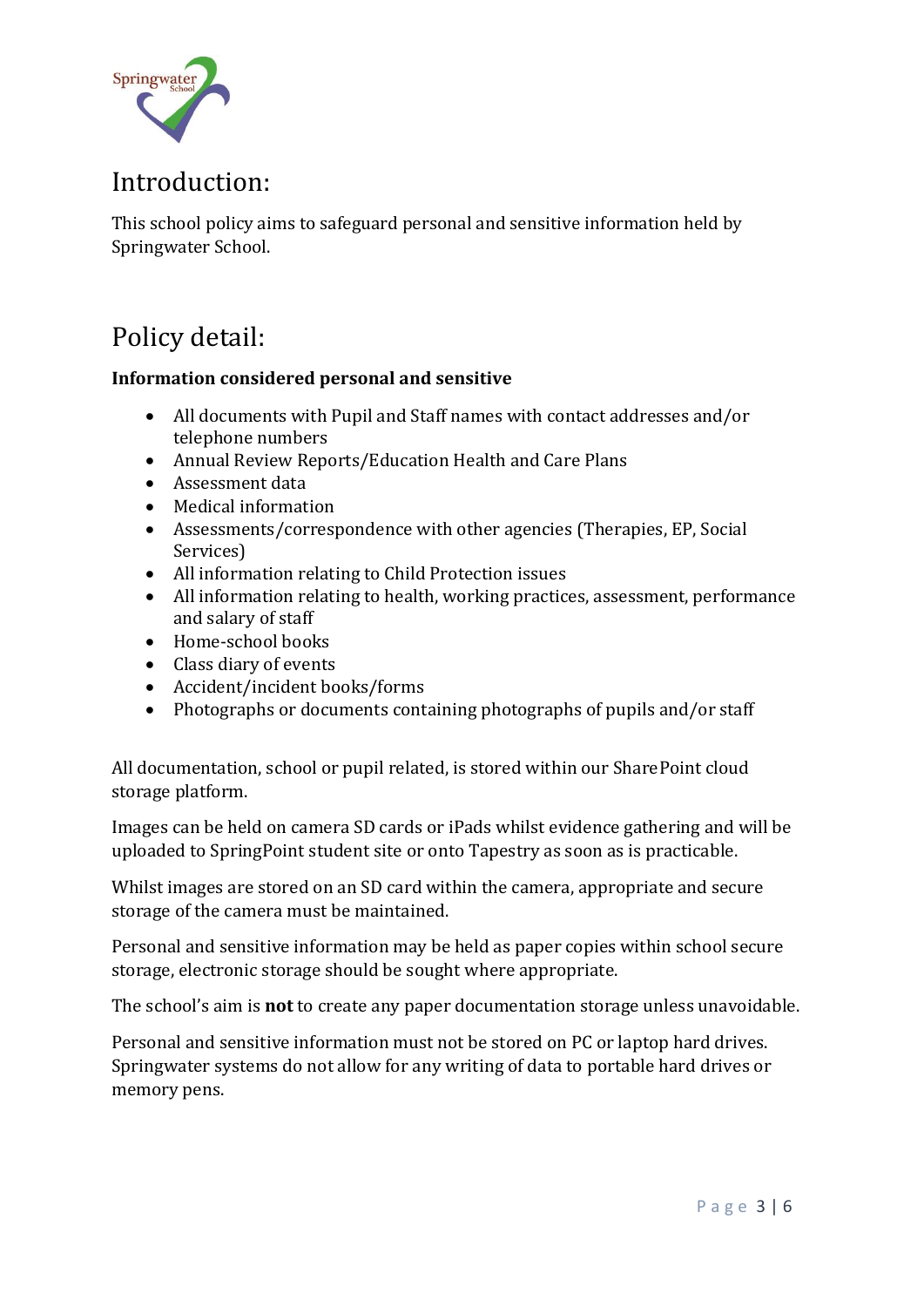

### Introduction:

This school policy aims to safeguard personal and sensitive information held by Springwater School.

### Policy detail:

#### **Information considered personal and sensitive**

- All documents with Pupil and Staff names with contact addresses and/or telephone numbers
- Annual Review Reports/Education Health and Care Plans
- Assessment data
- Medical information
- Assessments/correspondence with other agencies (Therapies, EP, Social Services)
- All information relating to Child Protection issues
- All information relating to health, working practices, assessment, performance and salary of staff
- Home-school books
- Class diary of events
- Accident/incident books/forms
- Photographs or documents containing photographs of pupils and/or staff

All documentation, school or pupil related, is stored within our SharePoint cloud storage platform.

Images can be held on camera SD cards or iPads whilst evidence gathering and will be uploaded to SpringPoint student site or onto Tapestry as soon as is practicable.

Whilst images are stored on an SD card within the camera, appropriate and secure storage of the camera must be maintained.

Personal and sensitive information may be held as paper copies within school secure storage, electronic storage should be sought where appropriate.

The school's aim is **not** to create any paper documentation storage unless unavoidable.

Personal and sensitive information must not be stored on PC or laptop hard drives. Springwater systems do not allow for any writing of data to portable hard drives or memory pens.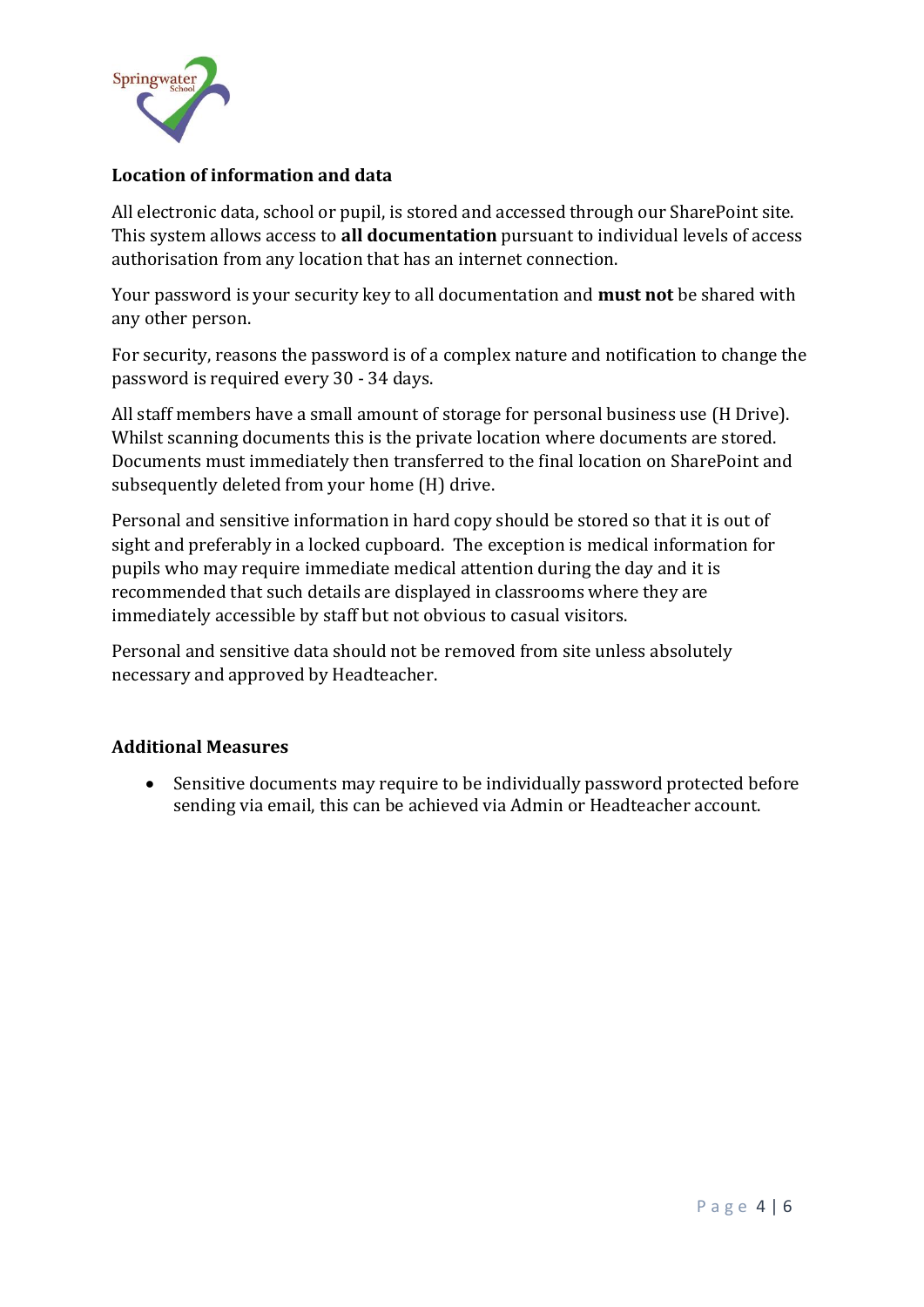

#### **Location of information and data**

All electronic data, school or pupil, is stored and accessed through our SharePoint site. This system allows access to **all documentation** pursuant to individual levels of access authorisation from any location that has an internet connection.

Your password is your security key to all documentation and **must not** be shared with any other person.

For security, reasons the password is of a complex nature and notification to change the password is required every 30 - 34 days.

All staff members have a small amount of storage for personal business use (H Drive). Whilst scanning documents this is the private location where documents are stored. Documents must immediately then transferred to the final location on SharePoint and subsequently deleted from your home (H) drive.

Personal and sensitive information in hard copy should be stored so that it is out of sight and preferably in a locked cupboard. The exception is medical information for pupils who may require immediate medical attention during the day and it is recommended that such details are displayed in classrooms where they are immediately accessible by staff but not obvious to casual visitors.

Personal and sensitive data should not be removed from site unless absolutely necessary and approved by Headteacher.

#### **Additional Measures**

• Sensitive documents may require to be individually password protected before sending via email, this can be achieved via Admin or Headteacher account.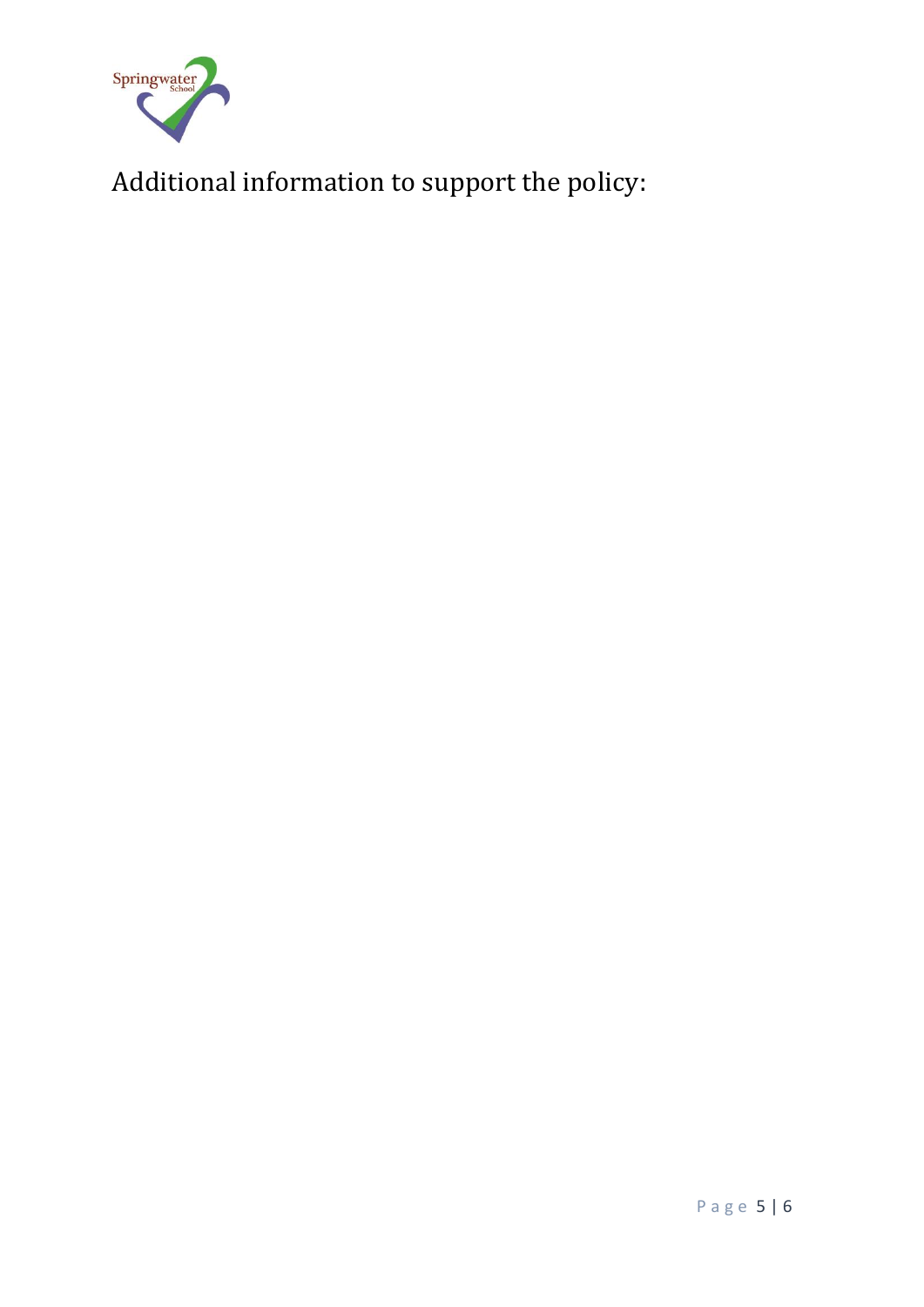

Additional information to support the policy: